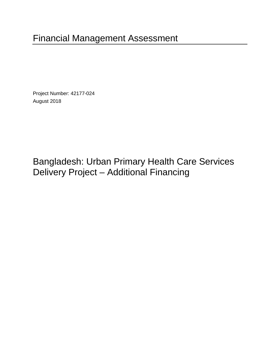# Financial Management Assessment

Project Number: 42177-024 August 2018

Bangladesh: Urban Primary Health Care Services Delivery Project – Additional Financing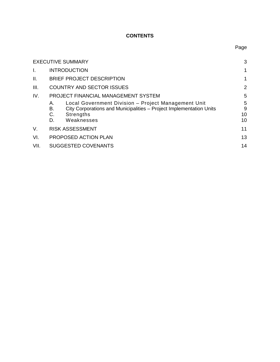### **CONTENTS**

|                | <b>EXECUTIVE SUMMARY</b>                                                                                                                                                      | 3                  |
|----------------|-------------------------------------------------------------------------------------------------------------------------------------------------------------------------------|--------------------|
| $\mathbf{I}$ . | <b>INTRODUCTION</b>                                                                                                                                                           | 1                  |
| II.            | <b>BRIEF PROJECT DESCRIPTION</b>                                                                                                                                              | 1                  |
| III.           | <b>COUNTRY AND SECTOR ISSUES</b>                                                                                                                                              | $\overline{2}$     |
| IV.            | PROJECT FINANCIAL MANAGEMENT SYSTEM                                                                                                                                           | 5                  |
|                | Local Government Division - Project Management Unit<br>А.<br>City Corporations and Municipalities - Project Implementation Units<br>В.<br>C.<br>Strengths<br>Weaknesses<br>D. | 5<br>9<br>10<br>10 |
| V.             | <b>RISK ASSESSMENT</b>                                                                                                                                                        | 11                 |
| VI.            | PROPOSED ACTION PLAN                                                                                                                                                          | 13                 |
| VII.           | <b>SUGGESTED COVENANTS</b>                                                                                                                                                    | 14                 |

## Page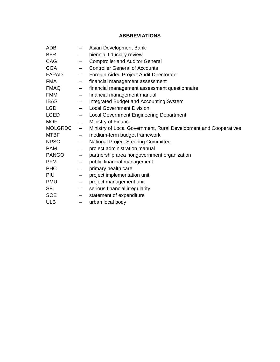#### **ABBREVIATIONS**

| ADB            |                          | Asian Development Bank                                           |
|----------------|--------------------------|------------------------------------------------------------------|
| <b>BFR</b>     | $\qquad \qquad$          | biennial fiduciary review                                        |
| CAG            | $\qquad \qquad -$        | <b>Comptroller and Auditor General</b>                           |
| <b>CGA</b>     | $\overline{\phantom{0}}$ | <b>Controller General of Accounts</b>                            |
| <b>FAPAD</b>   | $\overline{\phantom{m}}$ | Foreign Aided Project Audit Directorate                          |
| <b>FMA</b>     | $\qquad \qquad -$        | financial management assessment                                  |
| <b>FMAQ</b>    | $\qquad \qquad -$        | financial management assessment questionnaire                    |
| <b>FMM</b>     | $\overline{\phantom{0}}$ | financial management manual                                      |
| <b>IBAS</b>    | $-$                      | Integrated Budget and Accounting System                          |
| <b>LGD</b>     | $\overline{\phantom{0}}$ | <b>Local Government Division</b>                                 |
| <b>LGED</b>    | $-$                      | <b>Local Government Engineering Department</b>                   |
| <b>MOF</b>     | $\qquad \qquad -$        | Ministry of Finance                                              |
| <b>MOLGRDC</b> | $\qquad \qquad -$        | Ministry of Local Government, Rural Development and Cooperatives |
| <b>MTBF</b>    | $\overline{\phantom{0}}$ | medium-term budget framework                                     |
| <b>NPSC</b>    | $-$                      | <b>National Project Steering Committee</b>                       |
| <b>PAM</b>     | $\overline{\phantom{0}}$ | project administration manual                                    |
| <b>PANGO</b>   | $\qquad \qquad -$        | partnership area nongovernment organization                      |
| <b>PFM</b>     | $\overline{\phantom{0}}$ | public financial management                                      |
| <b>PHC</b>     | $\overline{\phantom{0}}$ | primary health care                                              |
| <b>PIU</b>     |                          |                                                                  |
|                | $\overline{\phantom{m}}$ | project implementation unit                                      |
| <b>PMU</b>     | $\qquad \qquad -$        | project management unit                                          |
| SFI            | $\qquad \qquad -$        | serious financial irregularity                                   |
| <b>SOE</b>     | $\overline{\phantom{0}}$ | statement of expenditure                                         |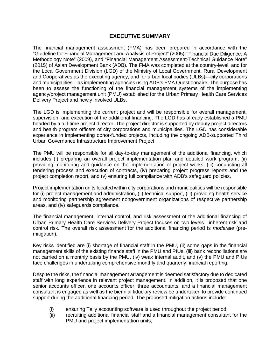#### **EXECUTIVE SUMMARY**

<span id="page-3-0"></span>The financial management assessment (FMA) has been prepared in accordance with the "Guideline for Financial Management and Analysis of Project" (2005),"Financial Due Diligence: A Methodology Note" (2009), and "Financial Management Assessment-Technical Guidance Note" (2015) of Asian Development Bank (ADB). The FMA was completed at the country-level, and for the Local Government Division (LGD) of the Ministry of Local Government, Rural Development and Cooperatives as the executing agency, and for urban local bodies (ULBs)—city corporations and municipalities—as implementing agencies using ADB's FMA Questionnaire. The purpose has been to assess the functioning of the financial management systems of the implementing agency/project management unit (PMU) established for the Urban Primary Health Care Services Delivery Project and newly involved ULBs.

The LGD is implementing the current project and will be responsible for overall management, supervision, and execution of the additional financing. The LGD has already established a PMU headed by a full-time project director. The project director is supported by deputy project directors and health program officers of city corporations and municipalities. The LGD has considerable experience in implementing donor-funded projects, including the ongoing ADB-supported Third Urban Governance Infrastructure Improvement Project.

The PMU will be responsible for all day-to-day management of the additional financing, which includes (i) preparing an overall project implementation plan and detailed work program, (ii) providing monitoring and guidance on the implementation of project works, (iii) conducting all tendering process and execution of contracts, (iv) preparing project progress reports and the project completion report, and (v) ensuring full compliance with ADB's safeguard policies.

Project implementation units located within city corporations and municipalities will be responsible for (i) project management and administration, (ii) technical support, (iii) providing health service and monitoring partnership agreement nongovernment organizations of respective partnership areas, and (iv) safeguards compliance.

The financial management, internal control, and risk assessment of the additional financing of Urban Primary Health Care Services Delivery Project focuses on two levels—inherent risk and control risk. The overall risk assessment for the additional financing period is *moderate* (premitigation).

Key risks identified are (i) shortage of financial staff in the PMU, (ii) some gaps in the financial management skills of the existing finance staff in the PMU and PIUs, (iii) bank reconciliations are not carried on a monthly basis by the PMU, (iv) weak internal audit, and (v) the PMU and PIUs face challenges in undertaking comprehensive monthly and quarterly financial reporting.

Despite the risks, the financial management arrangement is deemed satisfactory due to dedicated staff with long experience in relevant project management. In addition, it is proposed that one senior accounts officer, one accounts officer, three accountants, and a financial management consultant is engaged as well as the biennial fiduciary review be undertaken to provide continued support during the additional financing period. The proposed mitigation actions include:

- (i) ensuring Tally accounting software is used throughout the project period;
- (ii) recruiting additional financial staff and a financial management consultant for the PMU and project implementation units;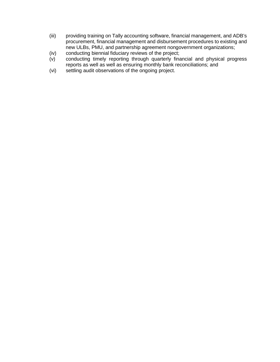- (iii) providing training on Tally accounting software, financial management, and ADB's procurement, financial management and disbursement procedures to existing and new ULBs, PMU, and partnership agreement nongovernment organizations;
- (iv) conducting biennial fiduciary reviews of the project;<br>(v) conducting timely reporting through quarterly final
- conducting timely reporting through quarterly financial and physical progress reports as well as well as ensuring monthly bank reconciliations; and
- (vi) settling audit observations of the ongoing project.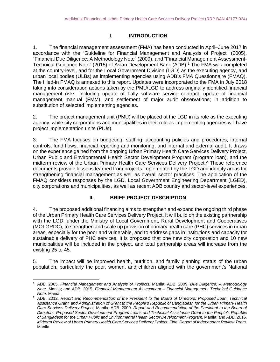#### <span id="page-5-0"></span>**I. INTRODUCTION**

1. The financial management assessment (FMA) has been conducted in April–June 2017 in accordance with the "Guideline for Financial Management and Analysis of Project" (2005), "Financial Due Diligence: A Methodology Note" (2009), and "Financial Management Assessment-Technical Guidance Note" (2015) of Asian Development Bank (ADB). [1](#page-5-2) The FMA was completed at the country-level, and for the Local Government Division (LGD) as the executing agency, and urban local bodies (ULBs) as implementing agencies using ADB's FMA Questionnaire (FMAQ). The filled-in FMAQ is annexed to this report. Updates were incorporated to the FMA in July 2018 taking into consideration actions taken by the PMU/LGD to address originally identified financial management risks, including update of Tally software service contract, update of financial management manual (FMM), and settlement of major audit observations; in addition to substitution of selected implementing agencies.

2. The project management unit (PMU) will be placed at the LGD in its role as the executing agency, while city corporations and municipalities in their role as implementing agencies will have project implementation units (PIUs).

3. The FMA focuses on budgeting, staffing, accounting policies and procedures, internal controls, fund flows, financial reporting and monitoring, and internal and external audit. It draws on the experience gained from the ongoing Urban Primary Health Care Services Delivery Project, Urban Public and Environmental Health Sector Development Program (program loan), and the midterm review of the Urban Primary Health Care Services Delivery Project. [2](#page-5-3) These reference documents provide lessons learned from projects implemented by the LGD and identify areas for strengthening financial management as well as overall sector practices. The application of the FMAQ considers responses by the LGD, Local Government Engineering Department (LGED), city corporations and municipalities, as well as recent ADB country and sector-level experiences.

#### <span id="page-5-1"></span>**II. BRIEF PROJECT DESCRIPTION**

4. The proposed additional financing aims to strengthen and expand the ongoing third phase of the Urban Primary Health Care Services Delivery Project. It will build on the existing partnership with the LGD, under the Ministry of Local Government, Rural Development and Cooperatives (MOLGRDC), to strengthen and scale up provision of primary health care (PHC) services in urban areas, especially for the poor and vulnerable, and to address gaps in institutions and capacity for sustainable delivery of PHC services. It is proposed that one new city corporation and 10 new municipalities will be included in the project, and total partnership areas will increase from the existing 25 to 45.

5. The impact will be improved health, nutrition, and family planning status of the urban population, particularly the poor, women, and children aligned with the government's National

<span id="page-5-2"></span> $\overline{a}$ <sup>1</sup> ADB. 2005. *Financial Management and Analysis of Projects.* Manila; ADB. 2009. *Due Diligence: A Methodology Note.* Manila; and ADB. 2015. *Financial Management Assessment – Financial Management Technical Guidance* 

<span id="page-5-3"></span><sup>&</sup>lt;sup>2</sup> ADB. 2012. *Report and Recommendation of the President to the Board of Directors: Proposed Loan, Technical Assistance Grant, and Administration of Grant to the People's Republic of Bangladesh for the Urban Primary Health Care Services Delivery Project.* Manila; ADB. 2009. *Report and Recommendation of the President to the Board of Directors: Proposed Sector Development Program Loans and Technical Assistance Grant to the People's Republic of Bangladesh for the Urban Public and Environmental Health Sector Development Program.* Manila; and ADB. 2016. *Midterm Review of Urban Primary Health Care Services Delivery Project. Final Report of Independent Review Team.*  Manila.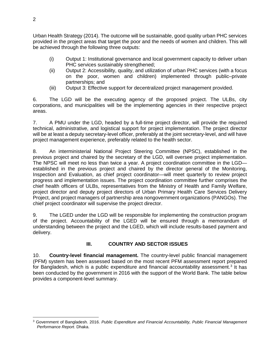Urban Health Strategy (2014). The outcome will be sustainable, good quality urban PHC services provided in the project areas that target the poor and the needs of women and children. This will be achieved through the following three outputs:

- (i) Output 1: Institutional governance and local government capacity to deliver urban PHC services sustainably strengthened;
- (ii) Output 2: Accessibility, quality, and utilization of urban PHC services (with a focus on the poor, women and children) implemented through public–private partnerships; and
- (iii) Output 3: Effective support for decentralized project management provided.

6. The LGD will be the executing agency of the proposed project. The ULBs, city corporations, and municipalities will be the implementing agencies in their respective project areas.

7. A PMU under the LGD, headed by a full-time project director, will provide the required technical, administrative, and logistical support for project implementation. The project director will be at least a deputy secretary-level officer, preferably at the joint secretary-level, and will have project management experience, preferably related to the health sector.

8. An interministerial National Project Steering Committee (NPSC), established in the previous project and chaired by the secretary of the LGD, will oversee project implementation. The NPSC will meet no less than twice a year. A project coordination committee in the LGD established in the previous project and chaired by the director general of the Monitoring, Inspection and Evaluation, as chief project coordinator—will meet quarterly to review project progress and implementation issues. The project coordination committee further comprises the chief health officers of ULBs, representatives from the Ministry of Health and Family Welfare, project director and deputy project directors of Urban Primary Health Care Services Delivery Project, and project managers of partnership area nongovernment organizations (PANGOs). The chief project coordinator will supervise the project director.

9. The LGED under the LGD will be responsible for implementing the construction program of the project. Accountability of the LGED will be ensured through a memorandum of understanding between the project and the LGED, which will include results-based payment and delivery.

### <span id="page-6-0"></span>**III. COUNTRY AND SECTOR ISSUES**

10. **Country-level financial management.** The country-level public financial management (PFM) system has been assessed based on the most recent PFM assessment report prepared for Bangladesh, which is a public expenditure and financial accountability assessment.<sup>[3](#page-6-1)</sup> It has been conducted by the government in 2016 with the support of the World Bank. The table below provides a component-level summary.

<span id="page-6-1"></span> $\overline{a}$ <sup>3</sup> Government of Bangladesh. 2016. *Public Expenditure and Financial Accountability, Public Financial Management Performance Report*. Dhaka.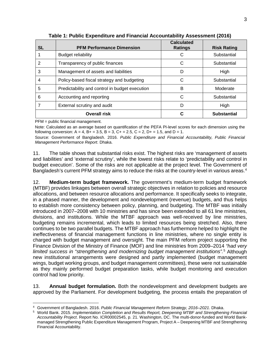| <b>SL</b>      | <b>PFM Performance Dimension</b>               | <b>Calculated</b><br><b>Ratings</b> | <b>Risk Rating</b> |
|----------------|------------------------------------------------|-------------------------------------|--------------------|
|                | Budget reliability                             |                                     | Substantial        |
| 2              | Transparency of public finances                | С                                   | Substantial        |
| 3              | Management of assets and liabilities           | D                                   | High               |
| $\overline{4}$ | Policy-based fiscal strategy and budgeting     | C                                   | Substantial        |
| 5              | Predictability and control in budget execution | B                                   | Moderate           |
| 6              | Accounting and reporting                       | C                                   | Substantial        |
| 7              | External scrutiny and audit                    | D                                   | High               |
|                | <b>Overall risk</b>                            |                                     | <b>Substantial</b> |

**Table 1: Public Expenditure and Financial Accountability Assessment (2016)**

PFM = public financial management.

Note: Calculated as an average based on quantification of the PEFA PI-level scores for each dimension using the following conversion:  $A = 4$ ,  $B + = 3.5$ ,  $B = 3$ ,  $C + = 2.5$ ,  $C = 2$ ,  $D + = 1.5$ , and  $D = 1$ .

Source: Government of Bangladesh. 2016. *Public Expenditure and Financial Accountability, Public Financial Management Performance Report*. Dhaka.

11. The table shows that substantial risks exist. The highest risks are 'management of assets and liabilities' and 'external scrutiny', while the lowest risks relate to 'predictability and control in budget execution'. Some of the risks are not applicable at the project level. The Government of Bangladesh's current PFM strategy aims to reduce the risks at the country-level in various areas.<sup>[4](#page-7-0)</sup>

12. **Medium-term budget framework.** The government's medium-term budget framework (MTBF) provides linkages between overall strategic objectives in relation to policies and resource allocations, and between resource allocations and performance. It specifically seeks to integrate, in a phased manner, the development and nondevelopment (revenue) budgets, and thus helps to establish more consistency between policy, planning, and budgeting. The MTBF was initially introduced in 2007–2008 with 10 ministries and has since been extended to all 61 line ministries, divisions, and institutions. While the MTBF approach was well-received by line ministries, budgeting remains incremental, which leads to limited resources being stretched. Also, there continues to be two parallel budgets. The MTBF approach has furthermore helped to highlight the ineffectiveness of financial management functions in line ministries, where no single entity is charged with budget management and oversight. The main PFM reform project supporting the Finance Division of the Ministry of Finance (MOF) and line ministries from 2009–2014 *"had very limited success in "strengthening and modernizing budget management institutions".* [5](#page-7-1) Although new institutional arrangements were designed and partly implemented (budget management wings, budget working groups, and budget management committees), these were not sustainable as they mainly performed budget preparation tasks, while budget monitoring and execution control had low priority.

13. **Annual budget formulation.** Both the nondevelopment and development budgets are approved by the Parliament. For development budgeting, the process entails the preparation of

 $\overline{a}$ <sup>4</sup> Government of Bangladesh. 2016. *Public Financial Management Reform Strategy, 2016–2021*. Dhaka.

<span id="page-7-1"></span><span id="page-7-0"></span><sup>5</sup> World Bank. 2015. *Implementation Completion and Results Report, Deepening MTBF and Strengthening Financial Accountability Project*. Report No. ICR00002545, p. 21. Washington, DC. The multi-donor-funded and World Bankmanaged Strengthening Public Expenditure Management Program, Project A – Deepening MTBF and Strengthening Financial Accountability.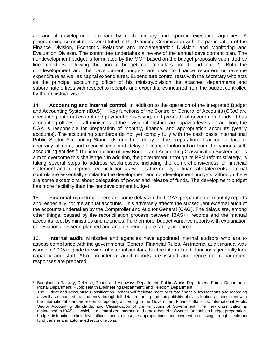an annual development program by each ministry and specific executing agencies. A programming committee is constituted in the Planning Commission with the participation of the Finance Division, Economic Relations and Implementation Division, and Monitoring and Evaluation Division. The committee undertakes a review of the annual development plan. The nondevelopment budget is formulated by the MOF based on the budget proposals submitted by line ministries following the annual budget call (circulars no. 1 and no. 2). Both the nondevelopment and the development budgets are used to finance recurrent or revenue expenditure as well as capital expenditures. Expenditure control rests with the secretary who acts as the principal accounting officer of his ministry/division, its attached departments and subordinate offices with respect to receipts and expenditures incurred from the budget controlled by the ministry/division.

14. **Accounting and internal control.** In addition to the operation of the Integrated Budget and Accounting System (IBAS)++, key functions of the Controller General of Accounts (CGA) are accounting, internal control and payment possessing, and pre-audit of government funds. It has accounting offices for all ministries at the divisional, district, and upazila levels. In addition, the CGA is responsible for preparation of monthly, finance, and appropriation accounts (yearly accounts). The accounting standards do not yet comply fully with the cash basis International Public Sector Accounting Standards due to a delay in the preparation of accounts, lack of accuracy of data, and reconciliation and delay of financial information from the various selfaccounting entities. [6](#page-8-0) The introduction of new Budget and Accounting Classification System codes aim to overcome this challenge.<sup>[7](#page-8-1)</sup> In addition, the government, through its PFM reform strategy, is taking several steps to address weaknesses, including the comprehensiveness of financial statement and to improve reconciliation as well as the quality of financial statements. Internal controls are essentially similar for the development and nondevelopment budgets, although there are some exceptions about delegation of power and release of funds. The development budget has more flexibility than the nondevelopment budget.

15. **Financial reporting.** There are some delays in the CGA's preparation of monthly reports and, especially, for the annual accounts. This adversely affects the subsequent external audit of the accounts undertaken by the Comptroller and Auditor General (CAG). The delays are, among other things, caused by the reconciliation process between IBAS++ records and the manual accounts kept by ministries and agencies. Furthermore, budget variance reports with explanation of deviations between planned and actual spending are rarely prepared.

16. **Internal audit.** Ministries and agencies have appointed internal auditors who are to assess compliance with the governments' General Financial Rules. An internal audit manual was issued in 2005 to guide the work of internal auditors, but the internal audit functions generally lack capacity and staff. Also, no internal audit reports are issued and hence no management responses are prepared.

<span id="page-8-0"></span> $\overline{a}$ <sup>6</sup> Bangladesh Railway, Defense, Roads and Highways Department; Public Works Department; Forest Department; Postal Department; Public Health Engineering Department; and Telecom Department.

<span id="page-8-1"></span> $7$  The Budget and Accounting Classification System will facilitate more accurate financial transactions and recording as well as enhanced transparency through full-detail reporting and compatibility of classification as consistent with the international standard external reporting according to the Government Finance Statistics, International Public Sector Accounting Standards, and Classification of the Functions of Government. The new classification is maintained in IBAS++, which is a centralized internet- and oracle-based software that enables budget preparation, budget distribution in field-level offices, funds release, re-appropriations, and payment processing through electronic fund transfer and automated reconciliations.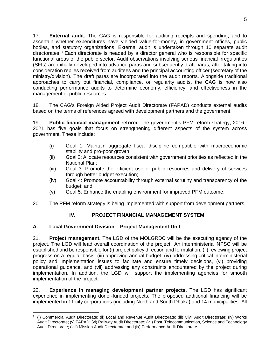17. **External audit.** The CAG is responsible for auditing receipts and spending, and to ascertain whether expenditures have yielded value-for-money, in government offices, public bodies, and statutory organizations. External audit is undertaken through 10 separate audit directorates. [8](#page-9-2) Each directorate is headed by a director general who is responsible for specific functional areas of the public sector. Audit observations involving serious financial irregularities (SFIs) are initially developed into advance paras and subsequently draft paras, after taking into consideration replies received from auditees and the principal accounting officer (secretary of the ministry/division). The draft paras are incorporated into the audit reports. Alongside traditional approaches to carry out financial, compliance, or regularity audits, the CAG is now also conducting performance audits to determine economy, efficiency, and effectiveness in the management of public resources.

18. The CAG's Foreign Aided Project Audit Directorate (FAPAD) conducts external audits based on the terms of references agreed with development partners and the government.

19. **Public financial management reform.** The government's PFM reform strategy, 2016– 2021 has five goals that focus on strengthening different aspects of the system across government. These include:

- (i) Goal 1: Maintain aggregate fiscal discipline compatible with macroeconomic stability and pro-poor growth;
- (ii) Goal 2: Allocate resources consistent with government priorities as reflected in the National Plan;
- (iii) Goal 3: Promote the efficient use of public resources and delivery of services through better budget execution;
- (iv) Goal 4: Promote accountability through external scrutiny and transparency of the budget; and
- (v) Goal 5: Enhance the enabling environment for improved PFM outcome.
- 20. The PFM reform strategy is being implemented with support from development partners.

#### <span id="page-9-0"></span>**IV. PROJECT FINANCIAL MANAGEMENT SYSTEM**

#### <span id="page-9-1"></span>**A. Local Government Division – Project Management Unit**

21. **Project management.** The LGD of the MOLGRDC will be the executing agency of the project. The LGD will lead overall coordination of the project. An interministerial NPSC will be established and be responsible for (i) project policy direction and formulation, (ii) reviewing project progress on a regular basis, (iii) approving annual budget, (iv) addressing critical interministerial policy and implementation issues to facilitate and ensure timely decisions, (vi) providing operational guidance, and (vii) addressing any constraints encountered by the project during implementation. In addition, the LGD will support the implementing agencies for smooth implementation of the project.

22. **Experience in managing development partner projects.** The LGD has significant experience in implementing donor-funded projects. The proposed additional financing will be implemented in 11 city corporations (including North and South Dhaka) and 14 municipalities. All

<span id="page-9-2"></span> $\overline{a}$ <sup>8</sup> (i) Commercial Audit Directorate; (ii) Local and Revenue Audit Directorate; (iii) Civil Audit Directorate; (iv) Works Audit Directorate; (v) FAPAD; (vi) Railway Audit Directorate; (vii) Post, Telecommunication, Science and Technology Audit Directorate; (viii) Mission Audit Directorate; and (ix) Performance Audit Directorate.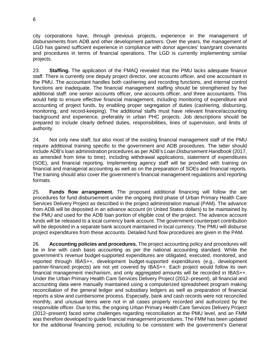city corporations have, through previous projects, experience in the management of disbursements from ADB and other development partners. Over the years, the management of LGD has gained sufficient experience in compliance with donor agencies' loan/grant covenants and procedures in terms of financial operations. The LGD is currently implementing similar projects.

23. **Staffing.** The application of the FMAQ revealed that the PMU lacks adequate finance staff. There is currently one deputy project director, one accounts officer, and one accountant in the PMU. The accountant handles both cashiering and recording functions, and internal control functions are inadequate. The financial management staffing should be strengthened by five additional staff: one senior accounts officer, one accounts officer, and three accountants. This would help to ensure effective financial management, including monitoring of expenditure and accounting of project funds, by enabling proper segregation of duties (cashiering, disbursing, monitoring, and record-keeping). The additional staffs must have relevant finance/accounting background and experience, preferably in urban PHC projects. Job descriptions should be prepared to include clearly defined duties, responsibilities, lines of supervision, and limits of authority.

24. Not only new staff, but also most of the existing financial management staff of the PMU require additional training specific to the government and ADB procedures. The latter should include ADB's loan administration procedures as per ADB's *Loan Disbursement Handbook* (2017, as amended from time to time), including withdrawal applications, statement of expenditures (SOE), and financial reporting. Implementing agency staff will be provided with training on financial and managerial accounting as well as on the preparation of SOEs and financial reports. The training should also cover the government's financial management regulations and reporting formats.

25. **Funds flow arrangement.** The proposed additional financing will follow the set procedures for fund disbursement under the ongoing third phase of Urban Primary Health Care Services Delivery Project as described in the project administration manual (PAM). The advance from ADB will be deposited in an advance account (in United States dollars) to be maintained by the PMU and used for the ADB loan portion of eligible cost of the project. The advance account funds will be released to a local currency bank account. The government counterpart contribution will be deposited in a separate bank account maintained in local currency. The PMU will disburse project expenditures from these accounts. Detailed fund flow procedures are given in the PAM.

26. **Accounting policies and procedures.** The project accounting policy and procedures will be in line with cash basis accounting as per the national accounting standard. While the government's revenue budget-supported expenditures are obligated, executed, monitored, and reported through IBAS++, development budget-supported expenditures (e.g., development partner-financed projects) are not yet covered by IBAS++. Each project would follow its own financial management mechanism, and only aggregated amounts will be recorded in IBAS++. Under the Urban Primary Health Care Services Delivery Project (2012–present), all financial and accounting data were manually maintained using a computerized spreadsheet program making reconciliation of the general ledger and subsidiary ledgers as well as preparation of financial reports a slow and cumbersome process. Especially, bank and cash records were not reconciled monthly, and unusual items were not in all cases properly recorded and authorized by the responsible officer. Due to this, the ongoing Urban Primary Health Care Services Delivery Project (2012–present) faced some challenges regarding reconciliation at the PMU level, and an FMM was therefore developed to guide financial management procedures. The FMM has been updated for the additional financing period, including to be consistent with the government's General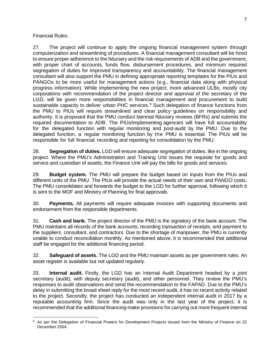#### Financial Rules.

27. The project will continue to apply the ongoing financial management system through computerization and streamlining of procedures. A financial management consultant will be hired to ensure proper adherence to the fiduciary and the risk requirements of ADB and the government, with proper chart of accounts, funds flow, disbursement procedures, and minimum required segregation of duties for improved transparency and accountability. The financial management consultant will also support the PMU in defining appropriate reporting templates for the PIUs and PANGOs to be more useful for management actions (e.g., financial data along with physical progress information). While implementing the new project, more advanced ULBs, mostly city corporations with recommendation of the project director and approval of the secretary of the LGD, will be given more responsibilities in financial management and procurement to build sustainable capacity to deliver urban PHC services. [9](#page-11-0) Such delegation of finance functions from the PMU to PIUs will require streamlined and clear policy guidelines on responsibility and authority. It is proposed that the PMU conduct biennial fiduciary reviews (BFRs) and submits the required documentation to ADB. The PIUs/implementing agencies will have full accountability for the delegated function with regular monitoring and post-audit by the PMU. Due to the delegated function, a regular monitoring function by the PMU is essential. The PIUs will be responsible for full financial recording and reporting for consolidation by the PMU.

28. **Segregation of duties.** LGD will ensure adequate segregation of duties, like in the ongoing project. Where the PMU's Administration and Training Unit issues the requisite for goods and service and custodian of assets, the Finance Unit will pay the bills for goods and services.

29. **Budget system.** The PMU will prepare the budget based on inputs from the PIUs and different units of the PMU. The PIUs will provide the actual needs of their own and PANGO costs. The PMU consolidates and forwards the budget to the LGD for further approval, following which it is sent to the MOF and Ministry of Planning for final approvals.

30. **Payments.** All payments will require adequate invoices with supporting documents and endorsement from the responsible departments.

31. **Cash and bank.** The project director of the PMU is the signatory of the bank account. The PMU maintains all records of the bank accounts, recording transaction of receipts, and payment to the suppliers, consultant, and contractors. Due to the shortage of manpower, the PMU is currently unable to conduct reconciliation monthly. As mentioned above, it is recommended that additional staff be engaged for the additional financing period.

32. **Safeguard of assets.** The LGD and the PMU maintain assets as per government rules. An asset register is available but not updated regularly.

33. **Internal audit.** Firstly, the LGD has an Internal Audit Department headed by a joint secretary (audit), with deputy secretary (audit), and other personnel. They review the PMU's responses to audit observations and send the recommendation to the FAPAD. Due to the PMU's delay in submitting the broad sheet reply for the most recent audit, it has no recent activity related to the project. Secondly, the project has conducted an independent internal audit in 2017 by a reputable accounting firm. Since the audit was only in the last year of the project, it is recommended that the additional financing make provisions for carrying out more frequent internal

<span id="page-11-0"></span> $\overline{a}$ <sup>9</sup> As per the Delegation of Financial Powers for Development Projects issued from the Ministry of Finance on 22 December 2004.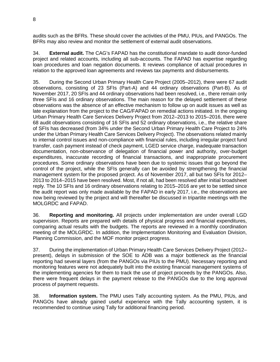audits such as the BFRs. These should cover the activities of the PMU, PIUs, and PANGOs. The BFRs may also review and monitor the settlement of external audit observations.

34. **External audit.** The CAG's FAPAD has the constitutional mandate to audit donor-funded project and related accounts, including all sub-accounts. The FAPAD has expertise regarding loan procedures and loan negation documents. It reviews compliance of actual procedures in relation to the approved loan agreements and reviews tax payments and disbursements.

35. During the Second Urban Primary Health Care Project (2005–2012), there were 67 audit observations, consisting of 23 SFIs (Part-A) and 44 ordinary observations (Part-B). As of November 2017, 20 SFIs and 44 ordinary observations had been resolved, i.e., there remain only three SFIs and 16 ordinary observations. The main reason for the delayed settlement of these observations was the absence of an effective mechanism to follow up on audit issues as well as late explanation from the project to the CAG/FAPAD on remedial actions initiated. In the ongoing Urban Primary Health Care Services Delivery Project from 2012–2013 to 2015–2016, there were 68 audit observations consisting of 16 SFIs and 52 ordinary observations, i.e., the relative share of SFIs has decreased (from 34% under the Second Urban Primary Health Care Project to 24% under the Urban Primary Health Care Services Delivery Project). The observations related mainly to internal control issues and non-compliance with financial rules, including irregular project fund transfer, cash payment instead of check payment, LGED service charge, inadequate transaction documentation, non-observance of delegation of financial power and authority, over-budget expenditures, inaccurate recording of financial transactions, and inappropriate procurement procedures. Some ordinary observations have been due to systemic issues that go beyond the control of the project, while the SFIs generally can be avoided by strengthening the financial management system for the proposed project. As of November 2017, all but two SFIs for 2012– 2013 to 2014–2015 have been resolved. Most, if not all, had been resolved after initial broadsheet reply. The 10 SFIs and 16 ordinary observations relating to 2015–2016 are yet to be settled since the audit report was only made available by the FAPAD in early 2017, i.e., the observations are now being reviewed by the project and will thereafter be discussed in tripartite meetings with the MOLGRDC and FAPAD.

36. **Reporting and monitoring.** All projects under implementation are under overall LGD supervision. Reports are prepared with details of physical progress and financial expenditures, comparing actual results with the budgets. The reports are reviewed in a monthly coordination meeting of the MOLGRDC. In addition, the Implementation Monitoring and Evaluation Division, Planning Commission, and the MOF monitor project progress.

37. During the implementation of Urban Primary Health Care Services Delivery Project (2012– present), delays in submission of the SOE to ADB was a major bottleneck as the financial reporting had several layers (from the PANGOs via PIUs to the PMU). Necessary reporting and monitoring features were not adequately built into the existing financial management systems of the implementing agencies for them to track the use of project proceeds by the PANGOs. Also, there were frequent delays in the payment release to the PANGOs due to the long approval process of payment requests.

38. **Information system.** The PMU uses Tally accounting system. As the PMU, PIUs, and PANGOs have already gained useful experience with the Tally accounting system, it is recommended to continue using Tally for additional financing period.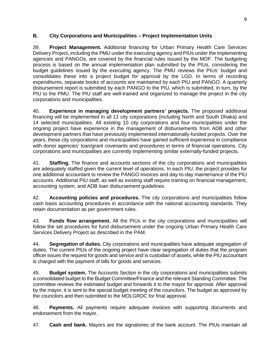#### <span id="page-13-0"></span>**B. City Corporations and Municipalities – Project Implementation Units**

39. **Project Management.** Additional financing for Urban Primary Health Care Services Delivery Project, including the PMU under the executing agency and PIUs under the implementing agencies and PANGOs, are covered by the financial rules issued by the MOF. The budgeting process is based on the annual implementation plan submitted by the PIUs, considering the budget guidelines issued by the executing agency. The PMU reviews the PIUs' budget and consolidates these into a project budget for approval by the LGD. In terms of recording expenditures, separate books of accounts are maintained by each PIU and PANGO. A quarterly disbursement report is submitted by each PANGO to the PIU, which is submitted, in turn, by the PIU to the PMU. The PIU staff are well-trained and organized to manage the project in the city corporations and municipalities.

40. **Experience in managing development partners' projects.** The proposed additional financing will be implemented in all 11 city corporations (including North and South Dhaka) and 14 selected municipalities. All existing 10 city corporations and four municipalities under the ongoing project have experience in the management of disbursements from ADB and other development partners that have previously implemented internationally-funded projects. Over the years, these city corporations and municipalities have gained sufficient experience in compliance with donor agencies' loan/grant covenants and procedures in terms of financial operations. City corporations and municipalities are currently implementing similar externally-funded projects.

41. **Staffing.** The finance and accounts sections of the city corporations and municipalities are adequately staffed given the current level of operations. In each PIU, the project provides for one additional accountant to review the PANGO invoices and day-to-day maintenance of the PIU accounts. Additional PIU staff, as well as existing staff require training on financial management, accounting system, and ADB loan disbursement guidelines.

42. **Accounting policies and procedures.** The city corporations and municipalities follow cash basis accounting procedures in accordance with the national accounting standards. They retain documentation as per government rules.

43. **Funds flow arrangement.** All the PIUs in the city corporations and municipalities will follow the set procedures for fund disbursement under the ongoing Urban Primary Health Care Services Delivery Project as described in the PAM.

44. **Segregation of duties.** City corporations and municipalities have adequate segregation of duties. The current PIUs of the ongoing project have clear segregation of duties that the program officer issues the request for goods and service and is custodian of assets, while the PIU accountant is charged with the payment of bills for goods and services.

45. **Budget system.** The Accounts Section in the city corporations and municipalities submits a consolidated budget to the Budget Committee/Finance and the relevant Standing Committee. The committee reviews the estimated budget and forwards it to the mayor for approval. After approval by the mayor, it is sent to the special budget meeting of the councilors. The budget as approved by the councilors and then submitted to the MOLGRDC for final approval.

46. **Payments.** All payments require adequate invoices with supporting documents and endorsement from the mayor.

47. **Cash and bank.** Mayors are the signatories of the bank account. The PIUs maintain all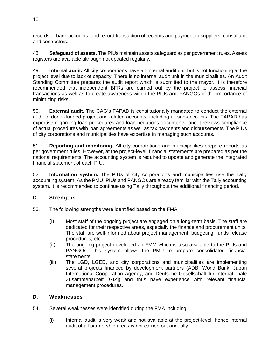records of bank accounts, and record transaction of receipts and payment to suppliers, consultant, and contractors.

48. **Safeguard of assets.** The PIUs maintain assets safeguard as per government rules. Assets registers are available although not updated regularly.

49. **Internal audit.** All city corporations have an internal audit unit but is not functioning at the project level due to lack of capacity. There is no internal audit unit in the municipalities. An Audit Standing Committee prepares the audit report which is submitted to the mayor. It is therefore recommended that independent BFRs are carried out by the project to assess financial transactions as well as to create awareness within the PIUs and PANGOs of the importance of minimizing risks.

50. **External audit.** The CAG's FAPAD is constitutionally mandated to conduct the external audit of donor-funded project and related accounts, including all sub-accounts. The FAPAD has expertise regarding loan procedures and loan negations documents, and it reviews compliance of actual procedures with loan agreements as well as tax payments and disbursements. The PIUs of city corporations and municipalities have expertise in managing such accounts.

51. **Reporting and monitoring.** All city corporations and municipalities prepare reports as per government rules. However, at the project-level, financial statements are prepared as per the national requirements. The accounting system is required to update and generate the integrated financial statement of each PIU.

52. **Information system.** The PIUs of city corporations and municipalities use the Tally accounting system. As the PMU, PIUs and PANGOs are already familiar with the Tally accounting system, it is recommended to continue using Tally throughout the additional financing period.

### <span id="page-14-0"></span>**C. Strengths**

- 53. The following strengths were identified based on the FMA:
	- (i) Most staff of the ongoing project are engaged on a long-term basis. The staff are dedicated for their respective areas, especially the finance and procurement units. The staff are well-informed about project management, budgeting, funds release procedures, etc.
	- (ii) The ongoing project developed an FMM which is also available to the PIUs and PANGOs. This system allows the PMU to prepare consolidated financial statements.
	- (iii) The LGD, LGED, and city corporations and municipalities are implementing several projects financed by development partners (ADB, World Bank, Japan International Cooperation Agency, and Deutsche Gesellschaft für Internationale Zusammenarbeit [GIZ]) and thus have experience with relevant financial management procedures.

#### <span id="page-14-1"></span>**D. Weaknesses**

- 54. Several weaknesses were identified during the FMA including:
	- (i) Internal audit is very weak and not available at the project-level, hence internal audit of all partnership areas is not carried out annually.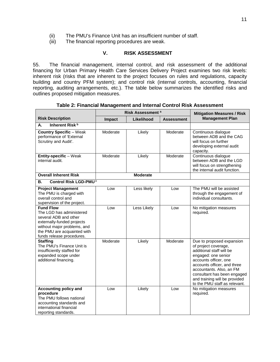- (ii) The PMU's Finance Unit has an insufficient number of staff.<br>(iii) The financial reporting procedures are weak.
- The financial reporting procedures are weak.

#### <span id="page-15-0"></span>**V. RISK ASSESSMENT**

55. The financial management, internal control, and risk assessment of the additional financing for Urban Primary Health Care Services Delivery Project examines two risk levels: inherent risk (risks that are inherent to the project focuses on rules and regulations, capacity building and country PFM system); and control risk (internal controls, accounting, financial reporting, auditing arrangements, etc.). The table below summarizes the identified risks and outlines proposed mitigation measures.

|                                                                                                                                                                                                | Risk Assessment a |                 | <b>Mitigation Measures / Risk</b> |                                                                                                                                                                                                                                                                                           |
|------------------------------------------------------------------------------------------------------------------------------------------------------------------------------------------------|-------------------|-----------------|-----------------------------------|-------------------------------------------------------------------------------------------------------------------------------------------------------------------------------------------------------------------------------------------------------------------------------------------|
| <b>Risk Description</b>                                                                                                                                                                        | Impact            | Likelihood      | <b>Assessment</b>                 | <b>Management Plan</b>                                                                                                                                                                                                                                                                    |
| Inherent Risk <sup>b</sup><br>А.                                                                                                                                                               |                   |                 |                                   |                                                                                                                                                                                                                                                                                           |
| <b>Country Specific - Weak</b><br>performance of 'External<br>Scrutiny and Audit'.                                                                                                             | Moderate          | Likely          | Moderate                          | Continuous dialogue<br>between ADB and the CAG<br>will focus on further<br>developing external audit<br>capacity.                                                                                                                                                                         |
| Entity-specific - Weak<br>internal audit.                                                                                                                                                      | Moderate          | Likely          | Moderate                          | Continuous dialogue<br>between ADB and the LGD<br>will focus on strengthening<br>the internal audit function.                                                                                                                                                                             |
| <b>Overall Inherent Risk</b>                                                                                                                                                                   |                   | <b>Moderate</b> |                                   |                                                                                                                                                                                                                                                                                           |
| Control Risk LGD-PMU <sup>c</sup><br>В.                                                                                                                                                        |                   |                 |                                   |                                                                                                                                                                                                                                                                                           |
| <b>Project Management</b><br>The PMU is charged with<br>overall control and<br>supervision of the project.                                                                                     | Low               | Less likely     | Low                               | The PMU will be assisted<br>through the engagement of<br>individual consultants.                                                                                                                                                                                                          |
| <b>Fund Flow</b><br>The LGD has administered<br>several ADB and other<br>externally-funded projects<br>without major problems, and<br>the PMU are acquainted with<br>funds release procedures. | Low               | Less Likely     | Low                               | No mitigation measures<br>required.                                                                                                                                                                                                                                                       |
| <b>Staffing</b><br>The PMU's Finance Unit is<br>insufficiently staffed for<br>expanded scope under<br>additional financing.                                                                    | Moderate          | Likely          | Moderate                          | Due to proposed expansion<br>of project coverage,<br>additional staff will be<br>engaged: one senior<br>accounts officer, one<br>accounts officer, and three<br>accountants. Also, an FM<br>consultant has been engaged<br>and training will be provided<br>to the PMU staff as relevant. |
| <b>Accounting policy and</b><br>procedure<br>The PMU follows national<br>accounting standards and<br>international financial<br>reporting standards.                                           | Low               | Likely          | Low                               | No mitigation measures<br>required.                                                                                                                                                                                                                                                       |

**Table 2: Financial Management and Internal Control Risk Assessment**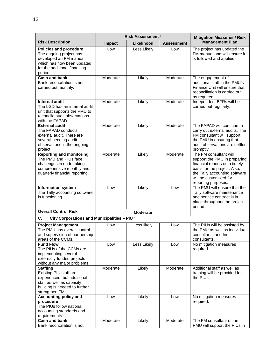|                                                                                                                                                              | Risk Assessment <sup>a</sup> |                 |                   | <b>Mitigation Measures / Risk</b>                                                                                                                                                                         |
|--------------------------------------------------------------------------------------------------------------------------------------------------------------|------------------------------|-----------------|-------------------|-----------------------------------------------------------------------------------------------------------------------------------------------------------------------------------------------------------|
| <b>Risk Description</b>                                                                                                                                      | <b>Impact</b>                | Likelihood      | <b>Assessment</b> | <b>Management Plan</b>                                                                                                                                                                                    |
| <b>Policies and procedure</b><br>The ongoing project has<br>developed an FM manual,<br>which has now been updated<br>for the additional financing<br>period. | Low                          | Less Likely     | Low               | The project has updated the<br>FM manual and will ensure it<br>is followed and applied.                                                                                                                   |
| <b>Cash and bank</b><br>Bank reconciliation is not<br>carried out monthly.                                                                                   | Moderate                     | Likely          | Moderate          | The engagement of<br>additional staff in the PMU's<br>Finance Unit will ensure that<br>reconciliation is carried out<br>as required.                                                                      |
| <b>Internal audit</b><br>The LGD has an internal audit<br>unit that supports the PMU to<br>reconcile audit observations<br>with the FAPAD.                   | Moderate                     | Likely          | Moderate          | Independent BFRs will be<br>carried out regularly.                                                                                                                                                        |
| <b>External audit</b><br>The FAPAD conducts<br>external audit. There are<br>several pending audit<br>observations in the ongoing<br>project.                 | Moderate                     | Likely          | Moderate          | The FAPAD will continue to<br>carry out external audits. The<br>FM consultant will support<br>the PMU in ensuring that<br>audit observations are settled<br>promptly.                                     |
| <b>Reporting and monitoring</b><br>The PMU and PIUs face<br>challenges in undertaking<br>comprehensive monthly and<br>quarterly financial reporting.         | Moderate                     | Likely          | Moderate          | The FM consultant will<br>support the PMU in preparing<br>financial reports on a timely<br>basis for the project. Also,<br>the Tally accounting software<br>will be customized for<br>reporting purposes. |
| <b>Information system</b><br>The Tally accounting software<br>is functioning.                                                                                | Low                          | Likely          | Low               | The PMU will ensure that the<br>Tally software maintenance<br>and service contract is in<br>place throughout the project<br>period.                                                                       |
| <b>Overall Control Risk</b>                                                                                                                                  |                              | <b>Moderate</b> |                   |                                                                                                                                                                                                           |
| City Corporations and Municipalities - PIU c<br>C.                                                                                                           |                              |                 |                   |                                                                                                                                                                                                           |
| <b>Project Management</b><br>The PMU has overall control<br>and supervision of partnership<br>areas of the CCMs.                                             | Low                          | Less likely     | Low               | The PIUs will be assisted by<br>the PMU as well as individual<br>consultants and firm<br>consultants.                                                                                                     |
| <b>Fund Flow</b><br>The PIUs of the CCMs are<br>implementing several<br>externally-funded projects<br>without any major problems.                            | Low                          | Less Likely     | Low               | No mitigation measures<br>required.                                                                                                                                                                       |
| <b>Staffing</b><br>Existing PIU staff are<br>experienced, but additional<br>staff as well as capacity<br>building is needed to further<br>strengthen FM.     | Moderate                     | Likely          | Moderate          | Additional staff as well as<br>training will be provided for<br>the PIUs.                                                                                                                                 |
| <b>Accounting policy and</b><br>procedure<br>The PIUs follow national<br>accounting standards and<br>requirements.                                           | Low                          | Likely          | Low               | No mitigation measures<br>required.                                                                                                                                                                       |
| <b>Cash and bank</b><br>Bank reconciliation is not                                                                                                           | Moderate                     | Likely          | Moderate          | The FM consultant of the<br>PMU will support the PIUs in                                                                                                                                                  |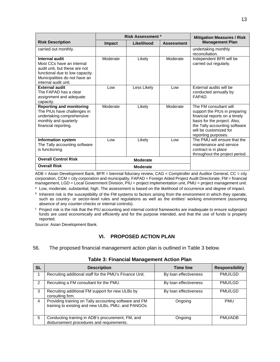|                                                                                                                                                                          | Risk Assessment <sup>a</sup> |                 | <b>Mitigation Measures / Risk</b> |                                                                                                                                                                                                            |
|--------------------------------------------------------------------------------------------------------------------------------------------------------------------------|------------------------------|-----------------|-----------------------------------|------------------------------------------------------------------------------------------------------------------------------------------------------------------------------------------------------------|
| <b>Risk Description</b>                                                                                                                                                  | Impact                       | Likelihood      | <b>Assessment</b>                 | <b>Management Plan</b>                                                                                                                                                                                     |
| carried out monthly.                                                                                                                                                     |                              |                 |                                   | undertaking monthly<br>reconciliation.                                                                                                                                                                     |
| Internal audit<br>Most CCs have an internal<br>audit unit, but these are not<br>functional due to low capacity.<br>Municipalities do not have an<br>internal audit unit. | Moderate                     | Likely          | Moderate                          | Independent BFR will be<br>carried out regularly.                                                                                                                                                          |
| <b>External audit</b><br>The FAPAD has a clear<br>assignment and adequate<br>capacity.                                                                                   | Low                          | Less Likely     | Low                               | External audits will be<br>conducted annually by<br>FAPAD.                                                                                                                                                 |
| <b>Reporting and monitoring</b><br>The PIUs have challenges in<br>undertaking comprehensive<br>monthly and quarterly<br>financial reporting.                             | Moderate                     | Likely          | Moderate                          | The FM consultant will<br>support the PIUs in preparing<br>financial reports on a timely<br>basis for the project. Also,<br>the Tally accounting software<br>will be customized for<br>reporting purposes. |
| <b>Information system</b><br>The Tally accounting software<br>is functioning.                                                                                            | Low                          | Likely          | Low                               | The PMU will ensure that the<br>maintenance and service<br>contract is in place<br>throughout the project period.                                                                                          |
| <b>Overall Control Risk</b>                                                                                                                                              |                              | <b>Moderate</b> |                                   |                                                                                                                                                                                                            |
| <b>Overall Risk</b>                                                                                                                                                      |                              | <b>Moderate</b> |                                   |                                                                                                                                                                                                            |

ADB = Asian Development Bank, BFR = biennial fiduciary review, CAG = Comptroller and Auditor General, CC = city corporation, CCM = city corporation and municipality, FAPAD = Foreign Aided Project Audit Directorate, FM = financial management, LGD = Local Government Division, PIU = project implementation unit, PMU = project management unit.

a Low, moderate, substantial, high. The assessment is based on the likelihood of occurrence and degree of impact.

 $<sup>b</sup>$  Inherent risk is the susceptibility of the FM systems to factors arising from the environment in which they operate,</sup> such as country- or sector-level rules and regulations as well as the entities' working environment (assuming absence of any counter-checks or internal controls).

 $c$  Project risk is the risk that the PIU accounting and internal control frameworks are inadequate to ensure subproject funds are used economically and efficiently and for the purpose intended, and that the use of funds is properly reported.

Source: Asian Development Bank.

#### <span id="page-17-0"></span>**VI. PROPOSED ACTION PLAN**

56. The proposed financial management action plan is outlined in Table 3 below.

| <b>SL</b>      | <b>Description</b>                                                                                            | <b>Time line</b>      | <b>Responsibility</b> |
|----------------|---------------------------------------------------------------------------------------------------------------|-----------------------|-----------------------|
|                | Recruiting additional staff for the PMU's Finance Unit.                                                       | By loan effectiveness | PMU/LGD               |
| $\mathcal{P}$  | Recruiting a FM consultant for the PMU.                                                                       | By loan effectiveness | <b>PMU/LGD</b>        |
| 3              | Recruiting additional FM support for new ULBs by<br>consulting firm.                                          | By loan effectiveness | <b>PMU/LGD</b>        |
| $\overline{4}$ | Providing training on Tally accounting software and FM<br>training to existing and new ULBs, PMU, and PANGOs. | Ongoing               | <b>PMU</b>            |
| 5              | Conducting training in ADB's procurement, FM, and<br>disbursement procedures and requirements.                | Ongoing               | PMU/ADB               |

#### **Table 3: Financial Management Action Plan**